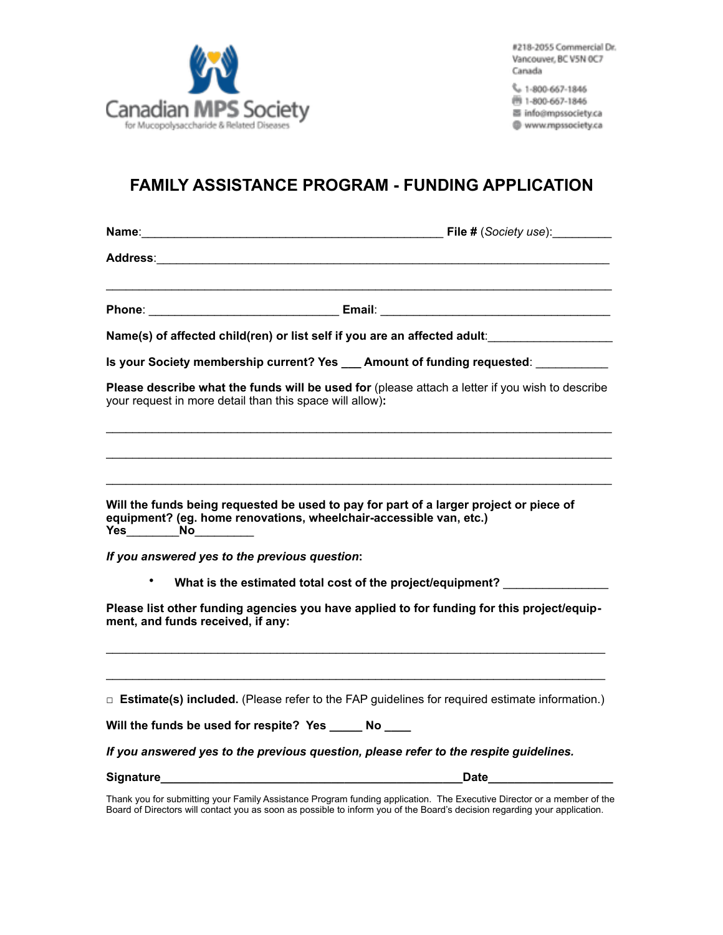

#218-2055 Commercial Dr. Vancouver, BC V5N OC7 Canada

L 1-800-667-1846 图 1-800-667-1846 昌 info@mpssociety.ca

@ www.mpssociety.ca

## **FAMILY ASSISTANCE PROGRAM - FUNDING APPLICATION**

**Name**:\_\_\_\_\_\_\_\_\_\_\_\_\_\_\_\_\_\_\_\_\_\_\_\_\_\_\_\_\_\_\_\_\_\_\_\_\_\_\_\_\_\_\_\_\_\_ **File #** (*Society use*):\_\_\_\_\_\_\_\_\_

**Address**:\_\_\_\_\_\_\_\_\_\_\_\_\_\_\_\_\_\_\_\_\_\_\_\_\_\_\_\_\_\_\_\_\_\_\_\_\_\_\_\_\_\_\_\_\_\_\_\_\_\_\_\_\_\_\_\_\_\_\_\_\_\_\_\_\_\_\_\_\_

**Phone**: \_\_\_\_\_\_\_\_\_\_\_\_\_\_\_\_\_\_\_\_\_\_\_\_\_\_\_\_\_ **Email**: \_\_\_\_\_\_\_\_\_\_\_\_\_\_\_\_\_\_\_\_\_\_\_\_\_\_\_\_\_\_\_\_\_\_\_

**Name(s) of affected child(ren) or list self if you are an affected adult**:\_\_\_\_\_\_\_\_\_\_\_\_\_\_\_\_\_\_\_

**Is your Society membership current? Yes \_\_\_\_ Amount of funding requested:** 

**Please describe what the funds will be used for** (please attach a letter if you wish to describe your request in more detail than this space will allow)**:**

 $\_$  ,  $\_$  ,  $\_$  ,  $\_$  ,  $\_$  ,  $\_$  ,  $\_$  ,  $\_$  ,  $\_$  ,  $\_$  ,  $\_$  ,  $\_$  ,  $\_$  ,  $\_$  ,  $\_$  ,  $\_$  ,  $\_$  ,  $\_$  ,  $\_$  ,  $\_$  ,  $\_$  ,  $\_$  ,  $\_$  ,  $\_$  ,  $\_$  ,  $\_$  ,  $\_$  ,  $\_$  ,  $\_$  ,  $\_$  ,  $\_$  ,  $\_$  ,  $\_$  ,  $\_$  ,  $\_$  ,  $\_$  ,  $\_$  ,

 $\mathcal{L}_\text{max}$  , and the set of the set of the set of the set of the set of the set of the set of the set of the set of the set of the set of the set of the set of the set of the set of the set of the set of the set of the

| Will the funds being requested be used to pay for part of a larger project or piece of<br>equipment? (eg. home renovations, wheelchair-accessible van, etc.) |
|--------------------------------------------------------------------------------------------------------------------------------------------------------------|
| If you answered yes to the previous question:                                                                                                                |
| What is the estimated total cost of the project/equipment?                                                                                                   |
| Please list other funding agencies you have applied to for funding for this project/equip-<br>ment, and funds received, if any:                              |
|                                                                                                                                                              |
| $\Box$ Estimate(s) included. (Please refer to the FAP guidelines for required estimate information.)                                                         |

**Will the funds be used for respite? Yes \_\_\_\_\_ No \_\_\_\_** 

*If you answered yes to the previous question, please refer to the respite guidelines.* 

|  | <b>Signature</b> |  |
|--|------------------|--|
|  |                  |  |

**Signature\_\_\_\_\_\_\_\_\_\_\_\_\_\_\_\_\_\_\_\_\_\_\_\_\_\_\_\_\_\_\_\_\_\_\_\_\_\_\_\_\_\_\_\_\_\_Date\_\_\_\_\_\_\_\_\_\_\_\_\_\_\_\_\_\_\_**

Thank you for submitting your Family Assistance Program funding application. The Executive Director or a member of the Board of Directors will contact you as soon as possible to inform you of the Board's decision regarding your application.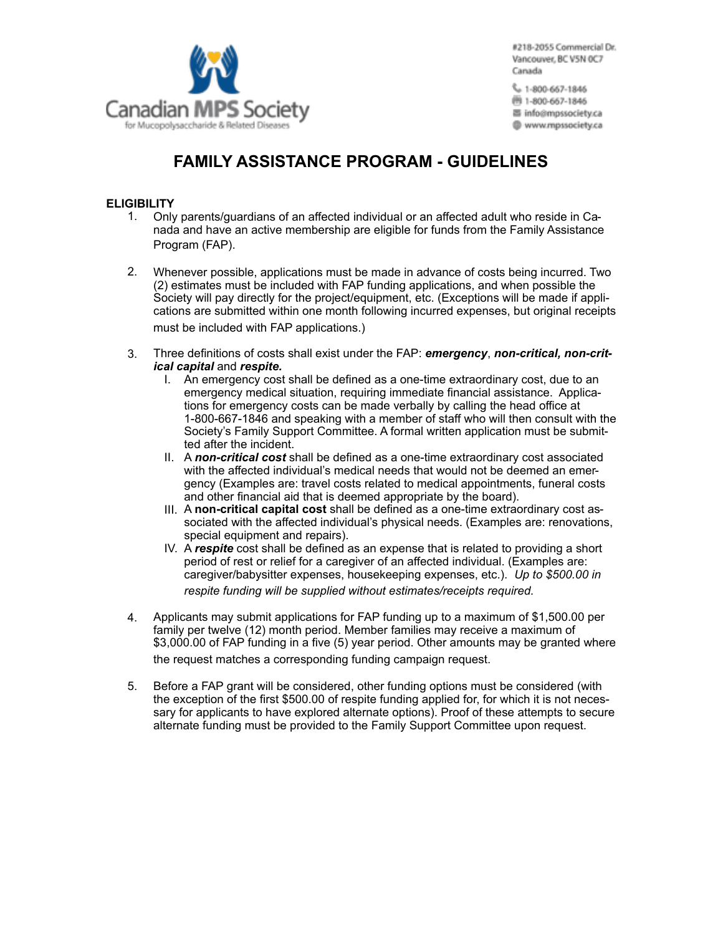

#218-2055 Commercial Dr. Vancouver, BC V5N OC7 Canada

L 1-800-667-1846 图 1-800-667-1846 圖 info@mpssociety.ca @ www.mpssociety.ca

## **FAMILY ASSISTANCE PROGRAM - GUIDELINES**

## **ELIGIBILITY**

- 1. Only parents/guardians of an affected individual or an affected adult who reside in Canada and have an active membership are eligible for funds from the Family Assistance Program (FAP).
- 2. Whenever possible, applications must be made in advance of costs being incurred. Two (2) estimates must be included with FAP funding applications, and when possible the Society will pay directly for the project/equipment, etc. (Exceptions will be made if applications are submitted within one month following incurred expenses, but original receipts must be included with FAP applications.)
- 3. Three definitions of costs shall exist under the FAP: *emergency*, *non-critical, non-critical capital* and *respite.*
	- I. An emergency cost shall be defined as a one-time extraordinary cost, due to an emergency medical situation, requiring immediate financial assistance. Applications for emergency costs can be made verbally by calling the head office at 1-800-667-1846 and speaking with a member of staff who will then consult with the Society's Family Support Committee. A formal written application must be submitted after the incident.
	- II. A *non-critical cost* shall be defined as a one-time extraordinary cost associated with the affected individual's medical needs that would not be deemed an emergency (Examples are: travel costs related to medical appointments, funeral costs and other financial aid that is deemed appropriate by the board).
	- III. A **non-critical capital cost** shall be defined as a one-time extraordinary cost associated with the affected individual's physical needs. (Examples are: renovations, special equipment and repairs).
	- IV. A *respite* cost shall be defined as an expense that is related to providing a short period of rest or relief for a caregiver of an affected individual. (Examples are: caregiver/babysitter expenses, housekeeping expenses, etc.). *Up to \$500.00 in respite funding will be supplied without estimates/receipts required.*
- 4. Applicants may submit applications for FAP funding up to a maximum of \$1,500.00 per family per twelve (12) month period. Member families may receive a maximum of \$3,000.00 of FAP funding in a five (5) year period. Other amounts may be granted where the request matches a corresponding funding campaign request.
- 5. Before a FAP grant will be considered, other funding options must be considered (with the exception of the first \$500.00 of respite funding applied for, for which it is not necessary for applicants to have explored alternate options). Proof of these attempts to secure alternate funding must be provided to the Family Support Committee upon request.